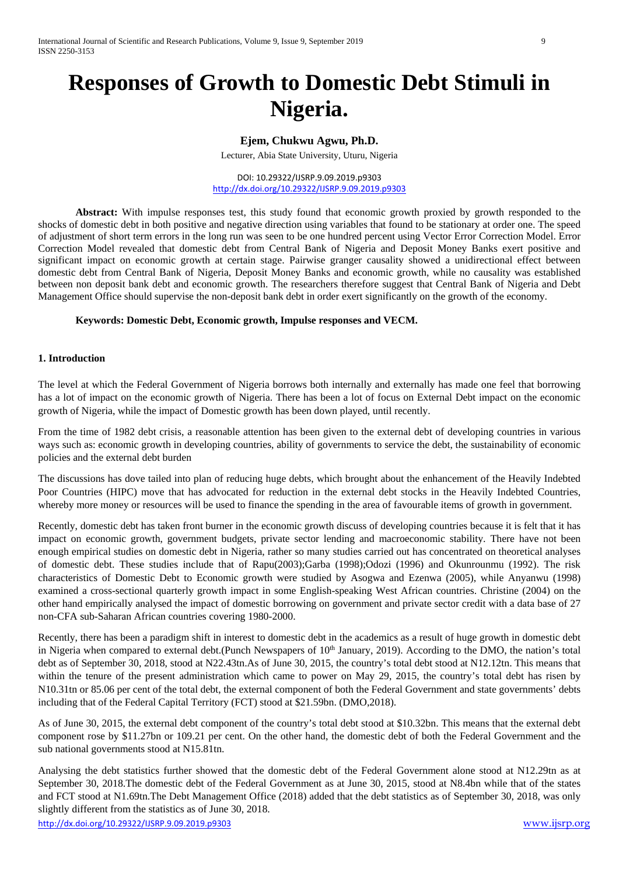# **Responses of Growth to Domestic Debt Stimuli in Nigeria.**

## **Ejem, Chukwu Agwu, Ph.D.**

Lecturer, Abia State University, Uturu, Nigeria

DOI: 10.29322/IJSRP.9.09.2019.p9303 <http://dx.doi.org/10.29322/IJSRP.9.09.2019.p9303>

**Abstract:** With impulse responses test, this study found that economic growth proxied by growth responded to the shocks of domestic debt in both positive and negative direction using variables that found to be stationary at order one. The speed of adjustment of short term errors in the long run was seen to be one hundred percent using Vector Error Correction Model. Error Correction Model revealed that domestic debt from Central Bank of Nigeria and Deposit Money Banks exert positive and significant impact on economic growth at certain stage. Pairwise granger causality showed a unidirectional effect between domestic debt from Central Bank of Nigeria, Deposit Money Banks and economic growth, while no causality was established between non deposit bank debt and economic growth. The researchers therefore suggest that Central Bank of Nigeria and Debt Management Office should supervise the non-deposit bank debt in order exert significantly on the growth of the economy.

## **Keywords: Domestic Debt, Economic growth, Impulse responses and VECM.**

#### **1. Introduction**

The level at which the Federal Government of Nigeria borrows both internally and externally has made one feel that borrowing has a lot of impact on the economic growth of Nigeria. There has been a lot of focus on External Debt impact on the economic growth of Nigeria, while the impact of Domestic growth has been down played, until recently.

From the time of 1982 debt crisis, a reasonable attention has been given to the external debt of developing countries in various ways such as: economic growth in developing countries, ability of governments to service the debt, the sustainability of economic policies and the external debt burden

The discussions has dove tailed into plan of reducing huge debts, which brought about the enhancement of the Heavily Indebted Poor Countries (HIPC) move that has advocated for reduction in the external debt stocks in the Heavily Indebted Countries, whereby more money or resources will be used to finance the spending in the area of favourable items of growth in government.

Recently, domestic debt has taken front burner in the economic growth discuss of developing countries because it is felt that it has impact on economic growth, government budgets, private sector lending and macroeconomic stability. There have not been enough empirical studies on domestic debt in Nigeria, rather so many studies carried out has concentrated on theoretical analyses of domestic debt. These studies include that of Rapu(2003);Garba (1998);Odozi (1996) and Okunrounmu (1992). The risk characteristics of Domestic Debt to Economic growth were studied by Asogwa and Ezenwa (2005), while Anyanwu (1998) examined a cross-sectional quarterly growth impact in some English-speaking West African countries. Christine (2004) on the other hand empirically analysed the impact of domestic borrowing on government and private sector credit with a data base of 27 non-CFA sub-Saharan African countries covering 1980-2000.

Recently, there has been a paradigm shift in interest to domestic debt in the academics as a result of huge growth in domestic debt in Nigeria when compared to external debt.(Punch Newspapers of  $10<sup>th</sup>$  January, 2019). According to the DMO, the nation's total debt as of September 30, 2018, stood at N22.43tn.As of June 30, 2015, the country's total debt stood at N12.12tn. This means that within the tenure of the present administration which came to power on May 29, 2015, the country's total debt has risen by N10.31tn or 85.06 per cent of the total debt, the external component of both the Federal Government and state governments' debts including that of the Federal Capital Territory (FCT) stood at \$21.59bn. (DMO,2018).

As of June 30, 2015, the external debt component of the country's total debt stood at \$10.32bn. This means that the external debt component rose by \$11.27bn or 109.21 per cent. On the other hand, the domestic debt of both the Federal Government and the sub national governments stood at N15.81tn.

<http://dx.doi.org/10.29322/IJSRP.9.09.2019.p9303> [www.ijsrp.org](http://ijsrp.org/) Analysing the debt statistics further showed that the domestic debt of the Federal Government alone stood at N12.29tn as at September 30, 2018.The domestic debt of the Federal Government as at June 30, 2015, stood at N8.4bn while that of the states and FCT stood at N1.69tn.The Debt Management Office (2018) added that the debt statistics as of September 30, 2018, was only slightly different from the statistics as of June 30, 2018.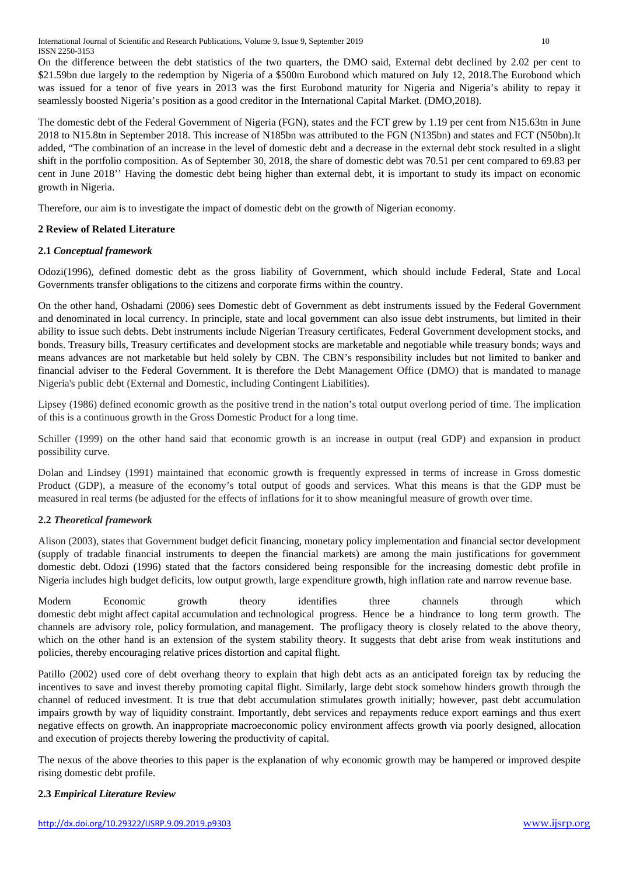International Journal of Scientific and Research Publications, Volume 9, Issue 9, September 2019 10 ISSN 2250-3153

On the difference between the debt statistics of the two quarters, the DMO said, External debt declined by 2.02 per cent to \$21.59bn due largely to the redemption by Nigeria of a \$500m Eurobond which matured on July 12, 2018.The Eurobond which was issued for a tenor of five years in 2013 was the first Eurobond maturity for Nigeria and Nigeria's ability to repay it seamlessly boosted Nigeria's position as a good creditor in the International Capital Market. (DMO,2018).

The domestic debt of the Federal Government of Nigeria (FGN), states and the FCT grew by 1.19 per cent from N15.63tn in June 2018 to N15.8tn in September 2018. This increase of N185bn was attributed to the FGN (N135bn) and states and FCT (N50bn).It added, "The combination of an increase in the level of domestic debt and a decrease in the external debt stock resulted in a slight shift in the portfolio composition. As of September 30, 2018, the share of domestic debt was 70.51 per cent compared to 69.83 per cent in June 2018'' Having the domestic debt being higher than external debt, it is important to study its impact on economic growth in Nigeria.

Therefore, our aim is to investigate the impact of domestic debt on the growth of Nigerian economy.

## **2 Review of Related Literature**

## **2.1** *Conceptual framework*

Odozi(1996), defined domestic debt as the gross liability of Government, which should include Federal, State and Local Governments transfer obligations to the citizens and corporate firms within the country.

On the other hand, Oshadami (2006) sees Domestic debt of Government as debt instruments issued by the Federal Government and denominated in local currency. In principle, state and local government can also issue debt instruments, but limited in their ability to issue such debts. Debt instruments include Nigerian Treasury certificates, Federal Government development stocks, and bonds. Treasury bills, Treasury certificates and development stocks are marketable and negotiable while treasury bonds; ways and means advances are not marketable but held solely by CBN. The CBN's responsibility includes but not limited to banker and financial adviser to the Federal Government. It is therefore the Debt Management Office (DMO) that is mandated to manage Nigeria's public debt (External and Domestic, including Contingent Liabilities).

Lipsey (1986) defined economic growth as the positive trend in the nation's total output overlong period of time. The implication of this is a continuous growth in the Gross Domestic Product for a long time.

Schiller (1999) on the other hand said that economic growth is an increase in output (real GDP) and expansion in product possibility curve.

Dolan and Lindsey (1991) maintained that economic growth is frequently expressed in terms of increase in Gross domestic Product (GDP), a measure of the economy's total output of goods and services. What this means is that the GDP must be measured in real terms (be adjusted for the effects of inflations for it to show meaningful measure of growth over time.

## **2.2** *Theoretical framework*

Alison (2003), states that Government budget deficit financing, monetary policy implementation and financial sector development (supply of tradable financial instruments to deepen the financial markets) are among the main justifications for government domestic debt. Odozi (1996) stated that the factors considered being responsible for the increasing domestic debt profile in Nigeria includes high budget deficits, low output growth, large expenditure growth, high inflation rate and narrow revenue base.

Modern Economic growth theory identifies three channels through which domestic debt might affect capital accumulation and technological progress. Hence be a hindrance to long term growth. The channels are advisory role, policy formulation, and management. The profligacy theory is closely related to the above theory, which on the other hand is an extension of the system stability theory. It suggests that debt arise from weak institutions and policies, thereby encouraging relative prices distortion and capital flight.

Patillo (2002) used core of debt overhang theory to explain that high debt acts as an anticipated foreign tax by reducing the incentives to save and invest thereby promoting capital flight. Similarly, large debt stock somehow hinders growth through the channel of reduced investment. It is true that debt accumulation stimulates growth initially; however, past debt accumulation impairs growth by way of liquidity constraint. Importantly, debt services and repayments reduce export earnings and thus exert negative effects on growth. An inappropriate macroeconomic policy environment affects growth via poorly designed, allocation and execution of projects thereby lowering the productivity of capital.

The nexus of the above theories to this paper is the explanation of why economic growth may be hampered or improved despite rising domestic debt profile.

## **2.3** *Empirical Literature Review*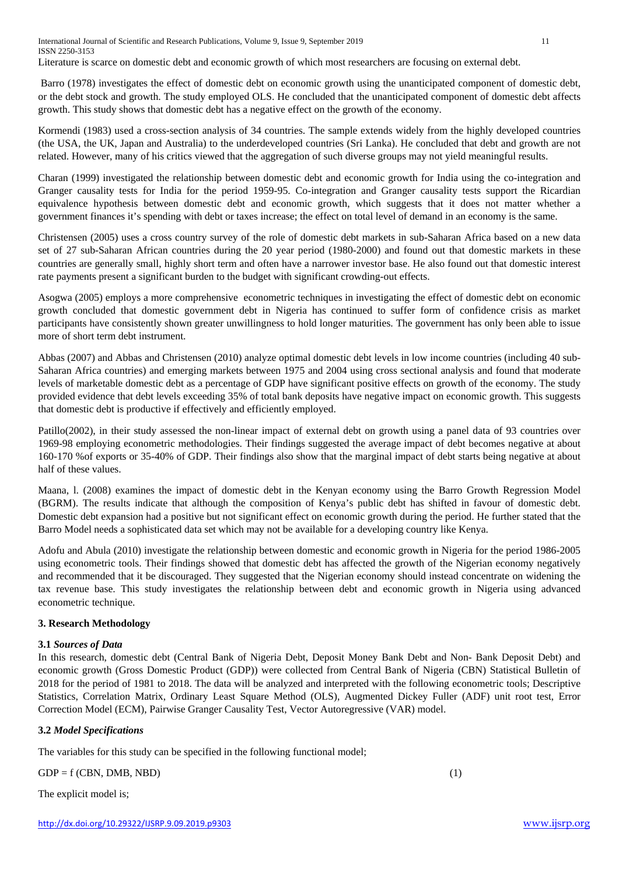International Journal of Scientific and Research Publications, Volume 9, Issue 9, September 2019 11 ISSN 2250-3153

Literature is scarce on domestic debt and economic growth of which most researchers are focusing on external debt.

Barro (1978) investigates the effect of domestic debt on economic growth using the unanticipated component of domestic debt, or the debt stock and growth. The study employed OLS. He concluded that the unanticipated component of domestic debt affects growth. This study shows that domestic debt has a negative effect on the growth of the economy.

Kormendi (1983) used a cross-section analysis of 34 countries. The sample extends widely from the highly developed countries (the USA, the UK, Japan and Australia) to the underdeveloped countries (Sri Lanka). He concluded that debt and growth are not related. However, many of his critics viewed that the aggregation of such diverse groups may not yield meaningful results.

Charan (1999) investigated the relationship between domestic debt and economic growth for India using the co-integration and Granger causality tests for India for the period 1959-95. Co-integration and Granger causality tests support the Ricardian equivalence hypothesis between domestic debt and economic growth, which suggests that it does not matter whether a government finances it's spending with debt or taxes increase; the effect on total level of demand in an economy is the same.

Christensen (2005) uses a cross country survey of the role of domestic debt markets in sub-Saharan Africa based on a new data set of 27 sub-Saharan African countries during the 20 year period (1980-2000) and found out that domestic markets in these countries are generally small, highly short term and often have a narrower investor base. He also found out that domestic interest rate payments present a significant burden to the budget with significant crowding-out effects.

Asogwa (2005) employs a more comprehensive econometric techniques in investigating the effect of domestic debt on economic growth concluded that domestic government debt in Nigeria has continued to suffer form of confidence crisis as market participants have consistently shown greater unwillingness to hold longer maturities. The government has only been able to issue more of short term debt instrument.

Abbas (2007) and Abbas and Christensen (2010) analyze optimal domestic debt levels in low income countries (including 40 sub-Saharan Africa countries) and emerging markets between 1975 and 2004 using cross sectional analysis and found that moderate levels of marketable domestic debt as a percentage of GDP have significant positive effects on growth of the economy. The study provided evidence that debt levels exceeding 35% of total bank deposits have negative impact on economic growth. This suggests that domestic debt is productive if effectively and efficiently employed.

Patillo(2002), in their study assessed the non-linear impact of external debt on growth using a panel data of 93 countries over 1969-98 employing econometric methodologies. Their findings suggested the average impact of debt becomes negative at about 160-170 %of exports or 35-40% of GDP. Their findings also show that the marginal impact of debt starts being negative at about half of these values.

Maana, l. (2008) examines the impact of domestic debt in the Kenyan economy using the Barro Growth Regression Model (BGRM). The results indicate that although the composition of Kenya's public debt has shifted in favour of domestic debt. Domestic debt expansion had a positive but not significant effect on economic growth during the period. He further stated that the Barro Model needs a sophisticated data set which may not be available for a developing country like Kenya.

Adofu and Abula (2010) investigate the relationship between domestic and economic growth in Nigeria for the period 1986-2005 using econometric tools. Their findings showed that domestic debt has affected the growth of the Nigerian economy negatively and recommended that it be discouraged. They suggested that the Nigerian economy should instead concentrate on widening the tax revenue base. This study investigates the relationship between debt and economic growth in Nigeria using advanced econometric technique.

## **3. Research Methodology**

## **3.1** *Sources of Data*

In this research, domestic debt (Central Bank of Nigeria Debt, Deposit Money Bank Debt and Non- Bank Deposit Debt) and economic growth (Gross Domestic Product (GDP)) were collected from Central Bank of Nigeria (CBN) Statistical Bulletin of 2018 for the period of 1981 to 2018. The data will be analyzed and interpreted with the following econometric tools; Descriptive Statistics, Correlation Matrix, Ordinary Least Square Method (OLS), Augmented Dickey Fuller (ADF) unit root test, Error Correction Model (ECM), Pairwise Granger Causality Test, Vector Autoregressive (VAR) model.

## **3.2** *Model Specifications*

The variables for this study can be specified in the following functional model;

 $GDP = f (CBN, DMB, NBD)$  (1)

The explicit model is;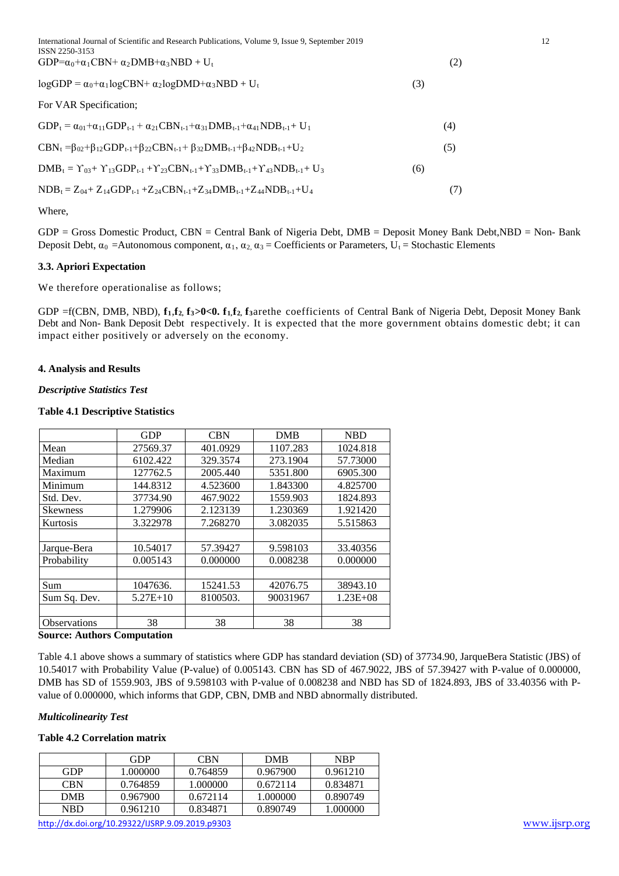International Journal of Scientific and Research Publications, Volume 9, Issue 9, September 2019 12 ISSN 2250-3153  $GDP = \alpha_0 + \alpha_1 CBN + \alpha_2 DMB + \alpha_3 NBD + U_t$  (2)

| $logGDP = \alpha_0 + \alpha_1 logCBN + \alpha_2 logDMD + \alpha_3 NBD + U_t$ |  |
|------------------------------------------------------------------------------|--|

#### For VAR Specification;

 $GDP_t = \alpha_{01} + \alpha_{11} GDP_{t-1} + \alpha_{21} CBN_{t-1} + \alpha_{31} DMB_{t-1} + \alpha_{41} NDB_{t-1} + U_1$  (4)

 $CBN_t = \beta_{02} + \beta_{12}GDP_{t-1} + \beta_{22}CBN_{t-1} + \beta_{32}DMB_{t-1} + \beta_{42}NDB_{t-1} + U_2$  (5)

 $\text{DMB}_{t} = \Upsilon_{03} + \Upsilon_{13} \text{GDP}_{t-1} + \Upsilon_{23} \text{CBN}_{t-1} + \Upsilon_{33} \text{DMB}_{t-1} + \Upsilon_{43} \text{NDB}_{t-1} + U_{3}$  (6)

 $NDB_t = Z_{04} + Z_{14}GDP_{t-1} + Z_{24}CBN_{t-1} + Z_{34}DMB_{t-1} + Z_{44}NDB_{t-1} + U_4$  (7)

Where,

GDP = Gross Domestic Product, CBN = Central Bank of Nigeria Debt, DMB = Deposit Money Bank Debt,NBD = Non- Bank Deposit Debt,  $\alpha_0$  =Autonomous component,  $\alpha_1, \alpha_2, \alpha_3$  = Coefficients or Parameters,  $U_t$  = Stochastic Elements

## **3.3. Apriori Expectation**

We therefore operationalise as follows;

GDP =f(CBN, DMB, NBD), **f1**,**f2, f3>0<0. f1,f2, f3**arethe coefficients of Central Bank of Nigeria Debt, Deposit Money Bank Debt and Non- Bank Deposit Debt respectively. It is expected that the more government obtains domestic debt; it can impact either positively or adversely on the economy.

## **4. Analysis and Results**

## *Descriptive Statistics Test*

#### **Table 4.1 Descriptive Statistics**

|                 | <b>GDP</b> | <b>CBN</b> | <b>DMB</b> | <b>NBD</b>   |
|-----------------|------------|------------|------------|--------------|
| Mean            | 27569.37   | 401.0929   | 1107.283   | 1024.818     |
| Median          | 6102.422   | 329.3574   | 273.1904   | 57.73000     |
| Maximum         | 127762.5   | 2005.440   | 5351.800   | 6905.300     |
| Minimum         | 144.8312   | 4.523600   | 1.843300   | 4.825700     |
| Std. Dev.       | 37734.90   | 467.9022   | 1559.903   | 1824.893     |
| <b>Skewness</b> | 1.279906   | 2.123139   | 1.230369   | 1.921420     |
| Kurtosis        | 3.322978   | 7.268270   | 3.082035   | 5.515863     |
|                 |            |            |            |              |
| Jarque-Bera     | 10.54017   | 57.39427   | 9.598103   | 33.40356     |
| Probability     | 0.005143   | 0.000000   | 0.008238   | 0.000000     |
|                 |            |            |            |              |
| Sum             | 1047636.   | 15241.53   | 42076.75   | 38943.10     |
| Sum Sq. Dev.    | $5.27E+10$ | 8100503.   | 90031967   | $1.23E + 08$ |
|                 |            |            |            |              |
| Observations    | 38<br>-    | 38         | 38         | 38           |

#### **Source: Authors Computation**

Table 4.1 above shows a summary of statistics where GDP has standard deviation (SD) of 37734.90, JarqueBera Statistic (JBS) of 10.54017 with Probability Value (P-value) of 0.005143. CBN has SD of 467.9022, JBS of 57.39427 with P-value of 0.000000, DMB has SD of 1559.903, JBS of 9.598103 with P-value of 0.008238 and NBD has SD of 1824.893, JBS of 33.40356 with Pvalue of 0.000000, which informs that GDP, CBN, DMB and NBD abnormally distributed.

## *Multicolinearity Test*

## **Table 4.2 Correlation matrix**

|            | GDP      | <b>CBN</b> | <b>DMB</b> | <b>NRP</b> |
|------------|----------|------------|------------|------------|
| GDP        | 1.000000 | 0.764859   | 0.967900   | 0.961210   |
| <b>CBN</b> | 0.764859 | 1.000000   | 0.672114   | 0.834871   |
| <b>DMB</b> | 0.967900 | 0.672114   | 1.000000   | 0.890749   |
| <b>NBD</b> | 0.961210 | 0.834871   | 0.890749   | 1.000000   |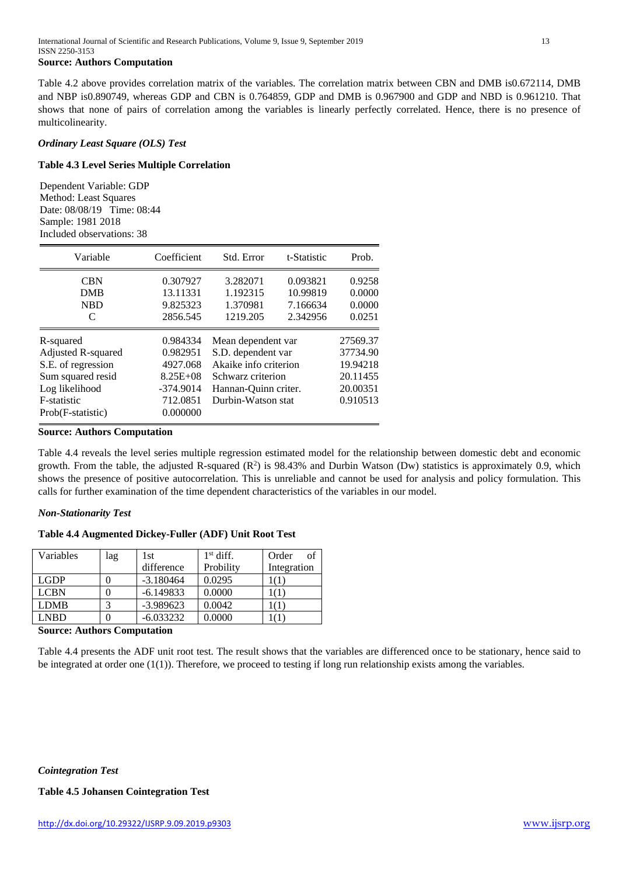#### **Source: Authors Computation**

Table 4.2 above provides correlation matrix of the variables. The correlation matrix between CBN and DMB is0.672114, DMB and NBP is0.890749, whereas GDP and CBN is 0.764859, GDP and DMB is 0.967900 and GDP and NBD is 0.961210. That shows that none of pairs of correlation among the variables is linearly perfectly correlated. Hence, there is no presence of multicolinearity.

#### *Ordinary Least Square (OLS) Test*

### **Table 4.3 Level Series Multiple Correlation**

Dependent Variable: GDP Method: Least Squares Date: 08/08/19 Time: 08:44 Sample: 1981 2018 Included observations: 38

| Variable                 | Coefficient          | Std. Error            | t-Statistic          | Prob.            |
|--------------------------|----------------------|-----------------------|----------------------|------------------|
| <b>CBN</b><br><b>DMB</b> | 0.307927<br>13.11331 | 3.282071<br>1.192315  | 0.093821<br>10.99819 | 0.9258<br>0.0000 |
| <b>NBD</b>               | 9.825323             | 1.370981              | 7.166634             | 0.0000           |
| C                        | 2856.545             | 1219.205              | 2.342956             | 0.0251           |
| R-squared                | 0.984334             | Mean dependent var    |                      | 27569.37         |
| Adjusted R-squared       | 0.982951             | S.D. dependent var    |                      | 37734.90         |
| S.E. of regression       | 4927.068             | Akaike info criterion |                      | 19.94218         |
| Sum squared resid        | $8.25E + 08$         | Schwarz criterion     |                      | 20.11455         |
| Log likelihood           | $-374.9014$          | Hannan-Quinn criter.  |                      | 20.00351         |
| F-statistic              | 712.0851             | Durbin-Watson stat    |                      | 0.910513         |
| Prob(F-statistic)        | 0.000000             |                       |                      |                  |

**Source: Authors Computation**

Table 4.4 reveals the level series multiple regression estimated model for the relationship between domestic debt and economic growth. From the table, the adjusted R-squared  $(R^2)$  is 98.43% and Durbin Watson (Dw) statistics is approximately 0.9, which shows the presence of positive autocorrelation. This is unreliable and cannot be used for analysis and policy formulation. This calls for further examination of the time dependent characteristics of the variables in our model.

#### *Non-Stationarity Test*

#### **Table 4.4 Augmented Dickey-Fuller (ADF) Unit Root Test**

| Variables   | lag | 1st         | $1st$ diff. | of<br>Order |
|-------------|-----|-------------|-------------|-------------|
|             |     | difference  | Probility   | Integration |
| LGDP        |     | $-3.180464$ | 0.0295      |             |
| <b>LCBN</b> |     | $-6.149833$ | 0.0000      |             |
| <b>LDMB</b> |     | $-3.989623$ | 0.0042      |             |
| LNBD        |     | $-6.033232$ | 0.0000      |             |

#### **Source: Authors Computation**

Table 4.4 presents the ADF unit root test. The result shows that the variables are differenced once to be stationary, hence said to be integrated at order one (1(1)). Therefore, we proceed to testing if long run relationship exists among the variables.

**Table 4.5 Johansen Cointegration Test**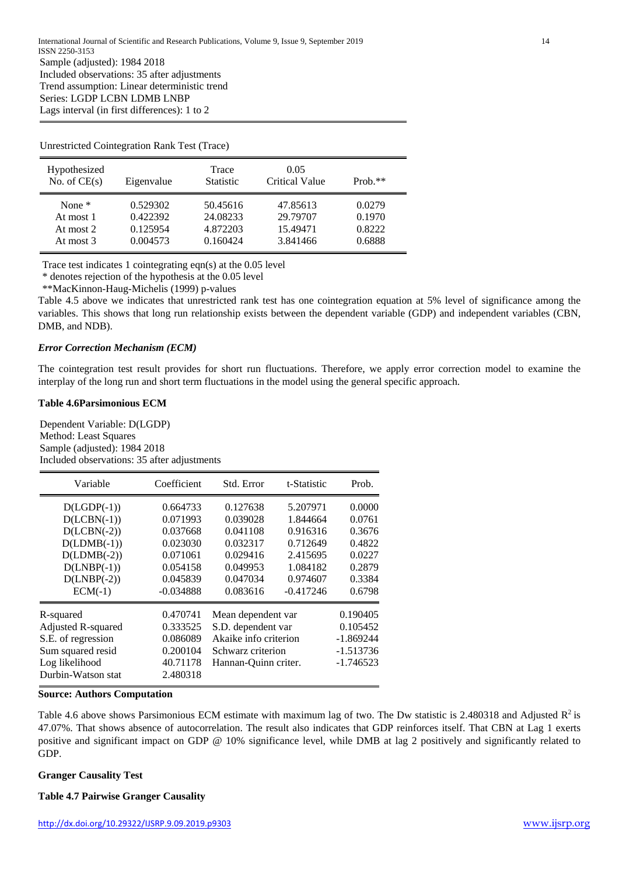#### Unrestricted Cointegration Rank Test (Trace)

| Hypothesized<br>No. of $CE(s)$ | Eigenvalue | Trace<br><b>Statistic</b> | 0.05<br>Critical Value | $Prob.**$ |
|--------------------------------|------------|---------------------------|------------------------|-----------|
| None $*$                       | 0.529302   | 50.45616                  | 47.85613               | 0.0279    |
| At most 1                      | 0.422392   | 24.08233                  | 29.79707               | 0.1970    |
| At most 2                      | 0.125954   | 4.872203                  | 15.49471               | 0.8222    |
| At most 3                      | 0.004573   | 0.160424                  | 3.841466               | 0.6888    |

Trace test indicates 1 cointegrating eqn(s) at the 0.05 level

\* denotes rejection of the hypothesis at the 0.05 level

\*\*MacKinnon-Haug-Michelis (1999) p-values

Table 4.5 above we indicates that unrestricted rank test has one cointegration equation at 5% level of significance among the variables. This shows that long run relationship exists between the dependent variable (GDP) and independent variables (CBN, DMB, and NDB).

#### *Error Correction Mechanism (ECM)*

The cointegration test result provides for short run fluctuations. Therefore, we apply error correction model to examine the interplay of the long run and short term fluctuations in the model using the general specific approach.

## **Table 4.6Parsimonious ECM**

Dependent Variable: D(LGDP) Method: Least Squares Sample (adjusted): 1984 2018 Included observations: 35 after adjustments

| Variable                                                                                                           | Coefficient                                                          | Std. Error                                                                                                     | t-Statistic | Prob.                                                             |
|--------------------------------------------------------------------------------------------------------------------|----------------------------------------------------------------------|----------------------------------------------------------------------------------------------------------------|-------------|-------------------------------------------------------------------|
| $D(LGDP(-1))$                                                                                                      | 0.664733                                                             | 0.127638                                                                                                       | 5.207971    | 0.0000                                                            |
| $D(LCBN(-1))$                                                                                                      | 0.071993                                                             | 0.039028                                                                                                       | 1.844664    | 0.0761                                                            |
| $D(LCBN(-2))$                                                                                                      | 0.037668                                                             | 0.041108                                                                                                       | 0.916316    | 0.3676                                                            |
| $D(LDMB(-1))$                                                                                                      | 0.023030                                                             | 0.032317                                                                                                       | 0.712649    | 0.4822                                                            |
| $D(LDMB(-2))$                                                                                                      | 0.071061                                                             | 0.029416                                                                                                       | 2.415695    | 0.0227                                                            |
| $D(LNBP(-1))$                                                                                                      | 0.054158                                                             | 0.049953                                                                                                       | 1.084182    | 0.2879                                                            |
| $D(LNBP(-2))$                                                                                                      | 0.045839                                                             | 0.047034                                                                                                       | 0.974607    | 0.3384                                                            |
| $ECM(-1)$                                                                                                          | $-0.034888$                                                          | 0.083616                                                                                                       | $-0.417246$ | 0.6798                                                            |
| R-squared<br>Adjusted R-squared<br>S.E. of regression<br>Sum squared resid<br>Log likelihood<br>Durbin-Watson stat | 0.470741<br>0.333525<br>0.086089<br>0.200104<br>40.71178<br>2.480318 | Mean dependent var<br>S.D. dependent var<br>Akaike info criterion<br>Schwarz criterion<br>Hannan-Quinn criter. |             | 0.190405<br>0.105452<br>$-1.869244$<br>$-1.513736$<br>$-1.746523$ |

#### **Source: Authors Computation**

Table 4.6 above shows Parsimonious ECM estimate with maximum lag of two. The Dw statistic is 2.480318 and Adjusted  $R^2$  is 47.07%. That shows absence of autocorrelation. The result also indicates that GDP reinforces itself. That CBN at Lag 1 exerts positive and significant impact on GDP @ 10% significance level, while DMB at lag 2 positively and significantly related to GDP.

#### **Granger Causality Test**

#### **Table 4.7 Pairwise Granger Causality**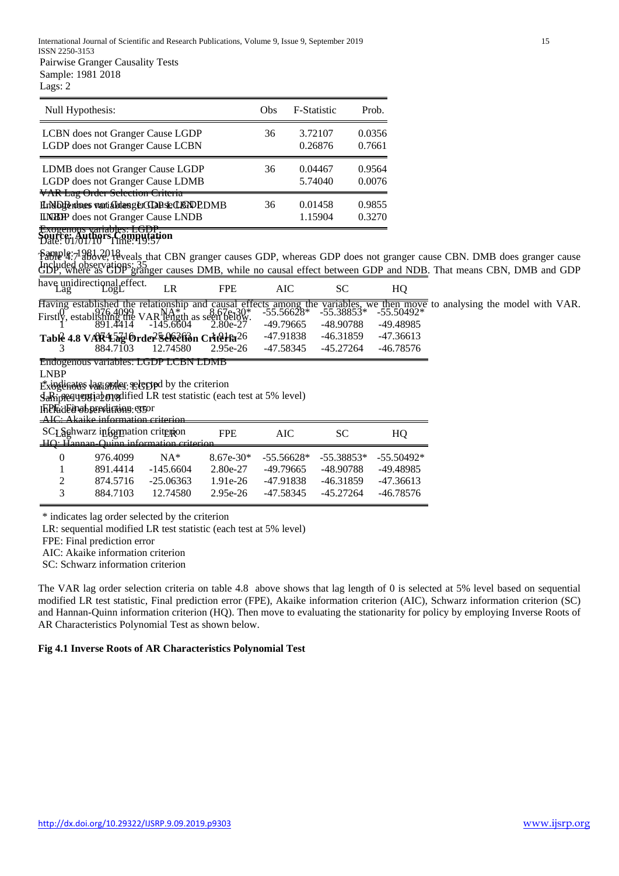| Null Hypothesis:                                                                                                                                                               | Obs | F-Statistic        | Prob.            |
|--------------------------------------------------------------------------------------------------------------------------------------------------------------------------------|-----|--------------------|------------------|
| LCBN does not Granger Cause LGDP                                                                                                                                               | 36  | 3.72107            | 0.0356           |
| LGDP does not Granger Cause LCBN                                                                                                                                               |     | 0.26876            | 0.7661           |
| LDMB does not Granger Cause LGDP                                                                                                                                               | 36  | 0.04467            | 0.9564           |
| LGDP does not Granger Cause LDMB                                                                                                                                               |     | 5.74040            | 0.0076           |
| <b>VAR Lag Order Selection Criteria</b><br>HrND Berdores wati abitenger CLAR Se CLARD PDMB<br><b>ILNBP</b> does not Granger Cause LNDB<br><del>Exogenous yariables: LGDP</del> | 36  | 0.01458<br>1.15904 | 0.9855<br>0.3270 |

## Date: 01/01/10 Time: 19:57 **Source: Authors Computation**

Sample: 1981 2018 Table 4.7 above, reveals that CBN granger causes GDP, whereas GDP does not granger cause CBN. DMB does granger cause Included observations: 35<br>GDP, where as GDP granger causes DMB, while no causal effect between GDP and NDB. That means CBN, DMB and GDP

| have unidirectional effect. |     |  |  |
|-----------------------------|-----|--|--|
| .ogL<br>La <sub>2</sub>     | 7DL |  |  |

Having established the relationship and causal effects among the variables, we then move to analysing the model with VAR.<br>Firstly, established the relationship and causal effects among the variables, we then move to analys

|                | Firstly, establishing the VAR length as seen below.<br>$391.4414$ -145.6604 2.80e-27     |                                                                     |             | $-11.1.10020$ | -.,,,,,,,,,,,,, | -999991      |
|----------------|------------------------------------------------------------------------------------------|---------------------------------------------------------------------|-------------|---------------|-----------------|--------------|
|                |                                                                                          |                                                                     |             | $-49.79665$   | -48.90788       | -49.48985    |
|                | Table 4.8 VAR454 Order Selection Criteria 26                                             |                                                                     |             | -47.91838     | $-46.31859$     | $-47.36613$  |
| 3              | 884.7103                                                                                 | 12.74580                                                            | 2.95e-26    | $-47.58345$   | $-45.27264$     | $-46.78576$  |
|                | <b>Endogenous variables: LGDP LCBN LDMB</b>                                              |                                                                     |             |               |                 |              |
| <b>LNBP</b>    |                                                                                          |                                                                     |             |               |                 |              |
|                | Exinglinates laginizer relepted by the criterion                                         |                                                                     |             |               |                 |              |
|                |                                                                                          |                                                                     |             |               |                 |              |
|                |                                                                                          |                                                                     |             |               |                 |              |
|                |                                                                                          | Sahipeequential engelised LR test statistic (each test at 5% level) |             |               |                 |              |
|                | IFIE Edenab per disting er sor<br>$\overline{\text{AIC}}$ : Akaike information criterion |                                                                     |             |               |                 |              |
|                |                                                                                          |                                                                     | <b>FPE</b>  |               |                 |              |
|                | SCI Schwarz information criterion<br>HO: Hannan Quinn information criterion              |                                                                     |             | <b>AIC</b>    | <b>SC</b>       | HQ           |
| $\Omega$       | 976.4099                                                                                 | $NA*$                                                               | $8.67e-30*$ | $-55.56628*$  | $-55.38853*$    | $-55.50492*$ |
|                | 891.4414                                                                                 | $-145.6604$                                                         | 2.80e-27    | $-49.79665$   | -48.90788       | -49.48985    |
| $\overline{c}$ | 874.5716                                                                                 | $-25.06363$                                                         | $1.91e-26$  | -47.91838     | $-46.31859$     | $-47.36613$  |

\* indicates lag order selected by the criterion

LR: sequential modified LR test statistic (each test at 5% level)

FPE: Final prediction error

AIC: Akaike information criterion

SC: Schwarz information criterion

The VAR lag order selection criteria on table 4.8 above shows that lag length of 0 is selected at 5% level based on sequential modified LR test statistic, Final prediction error (FPE), Akaike information criterion (AIC), Schwarz information criterion (SC) and Hannan-Quinn information criterion (HQ). Then move to evaluating the stationarity for policy by employing Inverse Roots of AR Characteristics Polynomial Test as shown below.

## **Fig 4.1 Inverse Roots of AR Characteristics Polynomial Test**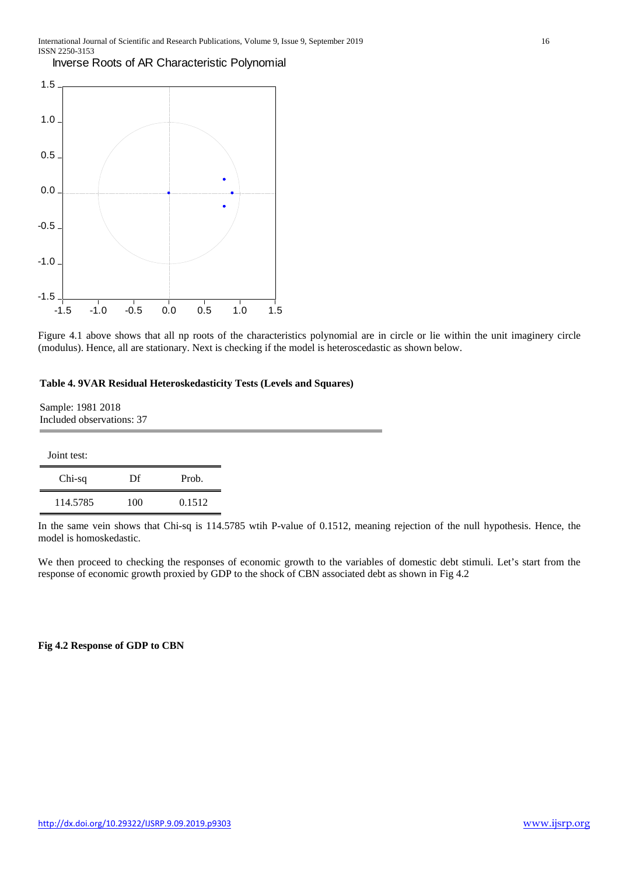Inverse Roots of AR Characteristic Polynomial



Figure 4.1 above shows that all np roots of the characteristics polynomial are in circle or lie within the unit imaginery circle (modulus). Hence, all are stationary. Next is checking if the model is heteroscedastic as shown below.

## **Table 4. 9VAR Residual Heteroskedasticity Tests (Levels and Squares)**

Sample: 1981 2018 Included observations: 37

| Joint test: |     |        |
|-------------|-----|--------|
| Chi-sq      | Df  | Prob.  |
| 114.5785    | 100 | 0.1512 |

In the same vein shows that Chi-sq is 114.5785 wtih P-value of 0.1512, meaning rejection of the null hypothesis. Hence, the model is homoskedastic.

We then proceed to checking the responses of economic growth to the variables of domestic debt stimuli. Let's start from the response of economic growth proxied by GDP to the shock of CBN associated debt as shown in Fig 4.2

#### **Fig 4.2 Response of GDP to CBN**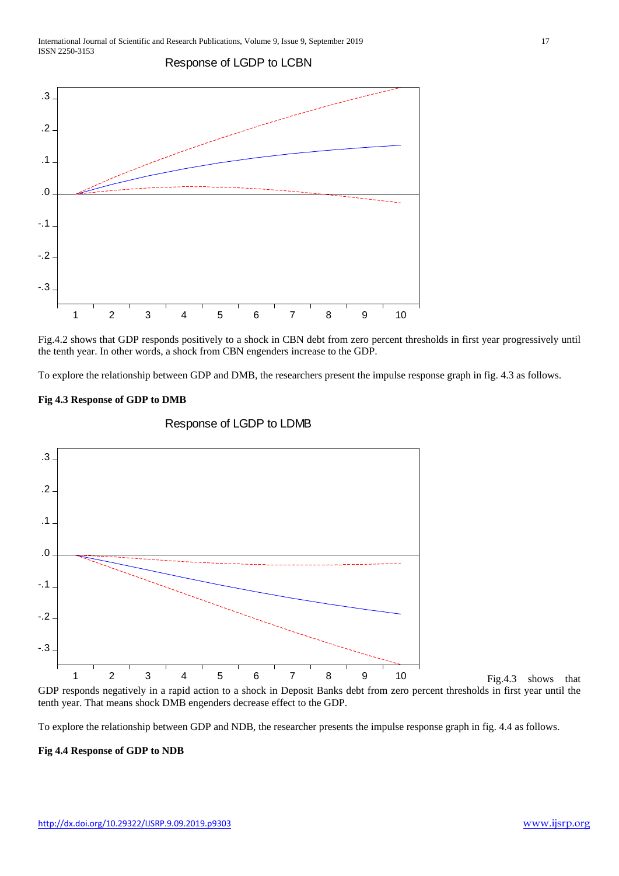Response of LGDP to LCBN



Fig.4.2 shows that GDP responds positively to a shock in CBN debt from zero percent thresholds in first year progressively until the tenth year. In other words, a shock from CBN engenders increase to the GDP.

To explore the relationship between GDP and DMB, the researchers present the impulse response graph in fig. 4.3 as follows.

#### **Fig 4.3 Response of GDP to DMB**



## Response of LGDP to LDMB

Fig.4.3 shows that

To explore the relationship between GDP and NDB, the researcher presents the impulse response graph in fig. 4.4 as follows.

#### **Fig 4.4 Response of GDP to NDB**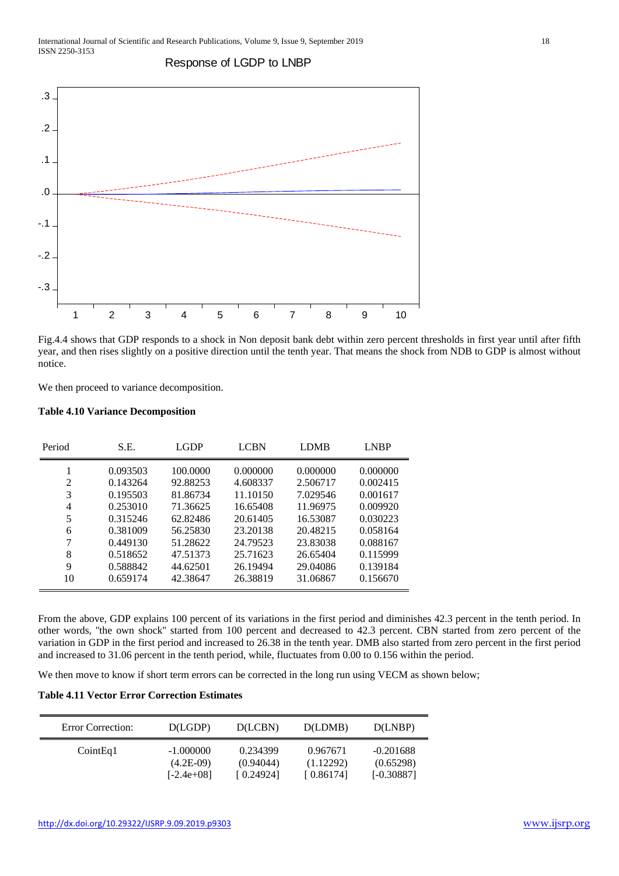

Response of LGDP to LNBP

Fig.4.4 shows that GDP responds to a shock in Non deposit bank debt within zero percent thresholds in first year until after fifth year, and then rises slightly on a positive direction until the tenth year. That means the shock from NDB to GDP is almost without notice.

We then proceed to variance decomposition.

#### **Table 4.10 Variance Decomposition**

| Period | S.E.     | <b>LGDP</b> | <b>LCBN</b> | <b>LDMB</b> | <b>LNBP</b> |
|--------|----------|-------------|-------------|-------------|-------------|
|        | 0.093503 | 100.0000    | 0.000000    | 0.000000    | 0.000000    |
| 2      | 0.143264 | 92.88253    | 4.608337    | 2.506717    | 0.002415    |
| 3      | 0.195503 | 81.86734    | 11.10150    | 7.029546    | 0.001617    |
| 4      | 0.253010 | 71.36625    | 16.65408    | 11.96975    | 0.009920    |
| 5      | 0.315246 | 62.82486    | 20.61405    | 16.53087    | 0.030223    |
| 6      | 0.381009 | 56.25830    | 23.20138    | 20.48215    | 0.058164    |
| 7      | 0.449130 | 51.28622    | 24.79523    | 23.83038    | 0.088167    |
| 8      | 0.518652 | 47.51373    | 25.71623    | 26.65404    | 0.115999    |
| 9      | 0.588842 | 44.62501    | 26.19494    | 29.04086    | 0.139184    |
| 10     | 0.659174 | 42.38647    | 26.38819    | 31.06867    | 0.156670    |

From the above, GDP explains 100 percent of its variations in the first period and diminishes 42.3 percent in the tenth period. In other words, ''the own shock'' started from 100 percent and decreased to 42.3 percent. CBN started from zero percent of the variation in GDP in the first period and increased to 26.38 in the tenth year. DMB also started from zero percent in the first period and increased to 31.06 percent in the tenth period, while, fluctuates from 0.00 to 0.156 within the period.

We then move to know if short term errors can be corrected in the long run using VECM as shown below;

#### **Table 4.11 Vector Error Correction Estimates**

| <b>Error Correction:</b> | D(LGDP)                    | D(LCBN)               | D(LDMB)               | D(LNBP)                  |
|--------------------------|----------------------------|-----------------------|-----------------------|--------------------------|
| CointEq1                 | $-1.000000$<br>$(4.2E-09)$ | 0.234399<br>(0.94044) | 0.967671<br>(1.12292) | $-0.201688$<br>(0.65298) |
|                          | $[-2.4e+08]$               | [0.24924]             | [0.86174]             | $[-0.30887]$             |